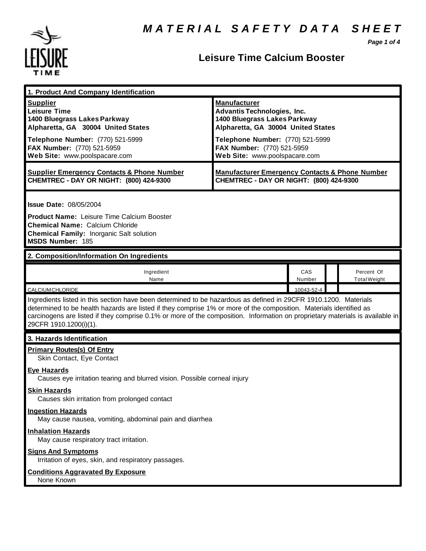*Page 1 of 4*



| 1. Product And Company Identification                                                                                                                                                                                                                                                                                                                                                             |                                                                                                                                                                                                                                    |               |  |                                   |
|---------------------------------------------------------------------------------------------------------------------------------------------------------------------------------------------------------------------------------------------------------------------------------------------------------------------------------------------------------------------------------------------------|------------------------------------------------------------------------------------------------------------------------------------------------------------------------------------------------------------------------------------|---------------|--|-----------------------------------|
| <b>Supplier</b><br><b>Leisure Time</b><br>1400 Bluegrass Lakes Parkway<br>Alpharetta, GA 30004 United States<br>Telephone Number: (770) 521-5999<br>FAX Number: (770) 521-5959<br>Web Site: www.poolspacare.com                                                                                                                                                                                   | <b>Manufacturer</b><br><b>Advantis Technologies, Inc.</b><br>1400 Bluegrass Lakes Parkway<br>Alpharetta, GA 30004 United States<br>Telephone Number: (770) 521-5999<br>FAX Number: (770) 521-5959<br>Web Site: www.poolspacare.com |               |  |                                   |
| <b>Supplier Emergency Contacts &amp; Phone Number</b><br>CHEMTREC - DAY OR NIGHT: (800) 424-9300                                                                                                                                                                                                                                                                                                  | <b>Manufacturer Emergency Contacts &amp; Phone Number</b><br>CHEMTREC - DAY OR NIGHT: (800) 424-9300                                                                                                                               |               |  |                                   |
| <b>Issue Date: 08/05/2004</b><br><b>Product Name: Leisure Time Calcium Booster</b><br><b>Chemical Name: Calcium Chloride</b><br><b>Chemical Family: Inorganic Salt solution</b><br>MSDS Number: 185                                                                                                                                                                                               |                                                                                                                                                                                                                                    |               |  |                                   |
| 2. Composition/Information On Ingredients                                                                                                                                                                                                                                                                                                                                                         |                                                                                                                                                                                                                                    |               |  |                                   |
| Ingredient<br>Name                                                                                                                                                                                                                                                                                                                                                                                |                                                                                                                                                                                                                                    | CAS<br>Number |  | Percent Of<br><b>Total Weight</b> |
| <b>CALCIUM CHLORIDE</b>                                                                                                                                                                                                                                                                                                                                                                           |                                                                                                                                                                                                                                    | 10043-52-4    |  |                                   |
| Ingredients listed in this section have been determined to be hazardous as defined in 29CFR 1910.1200. Materials<br>determined to be health hazards are listed if they comprise 1% or more of the composition. Materials identified as<br>carcinogens are listed if they comprise 0.1% or more of the composition. Information on proprietary materials is available in<br>29CFR 1910.1200(i)(1). |                                                                                                                                                                                                                                    |               |  |                                   |
| 3. Hazards Identification                                                                                                                                                                                                                                                                                                                                                                         |                                                                                                                                                                                                                                    |               |  |                                   |
| <b>Primary Routes(s) Of Entry</b><br>Skin Contact, Eye Contact                                                                                                                                                                                                                                                                                                                                    |                                                                                                                                                                                                                                    |               |  |                                   |
| <b>Eye Hazards</b><br>Causes eye irritation tearing and blurred vision. Possible corneal injury                                                                                                                                                                                                                                                                                                   |                                                                                                                                                                                                                                    |               |  |                                   |
| <b>Skin Hazards</b><br>Causes skin irritation from prolonged contact                                                                                                                                                                                                                                                                                                                              |                                                                                                                                                                                                                                    |               |  |                                   |
| <b>Ingestion Hazards</b><br>May cause nausea, vomiting, abdominal pain and diarrhea                                                                                                                                                                                                                                                                                                               |                                                                                                                                                                                                                                    |               |  |                                   |
| <b>Inhalation Hazards</b><br>May cause respiratory tract irritation.                                                                                                                                                                                                                                                                                                                              |                                                                                                                                                                                                                                    |               |  |                                   |
| <b>Signs And Symptoms</b><br>Irritation of eyes, skin, and respiratory passages.                                                                                                                                                                                                                                                                                                                  |                                                                                                                                                                                                                                    |               |  |                                   |
| <b>Conditions Aggravated By Exposure</b><br>None Known                                                                                                                                                                                                                                                                                                                                            |                                                                                                                                                                                                                                    |               |  |                                   |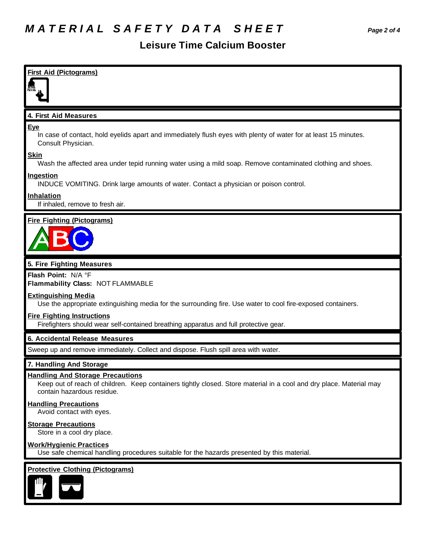| <b>First Aid (Pictograms)</b>                                                                                                                                                                |
|----------------------------------------------------------------------------------------------------------------------------------------------------------------------------------------------|
| 4. First Aid Measures                                                                                                                                                                        |
| Eye<br>In case of contact, hold eyelids apart and immediately flush eyes with plenty of water for at least 15 minutes.<br>Consult Physician.                                                 |
| <b>Skin</b><br>Wash the affected area under tepid running water using a mild soap. Remove contaminated clothing and shoes.                                                                   |
| <b>Ingestion</b><br>INDUCE VOMITING. Drink large amounts of water. Contact a physician or poison control.                                                                                    |
| Inhalation<br>If inhaled, remove to fresh air.                                                                                                                                               |
| <b>Fire Fighting (Pictograms)</b>                                                                                                                                                            |
| 5. Fire Fighting Measures                                                                                                                                                                    |
| Flash Point: N/A °F<br>Flammability Class: NOT FLAMMABLE                                                                                                                                     |
| <b>Extinguishing Media</b><br>Use the appropriate extinguishing media for the surrounding fire. Use water to cool fire-exposed containers.                                                   |
| <b>Fire Fighting Instructions</b><br>Firefighters should wear self-contained breathing apparatus and full protective gear.                                                                   |
| 6. Accidental Release Measures                                                                                                                                                               |
| Sweep up and remove immediately. Collect and dispose. Flush spill area with water.                                                                                                           |
| 7. Handling And Storage                                                                                                                                                                      |
| <b>Handling And Storage Precautions</b><br>Keep out of reach of children. Keep containers tightly closed. Store material in a cool and dry place. Material may<br>contain hazardous residue. |
| <b>Handling Precautions</b><br>Avoid contact with eyes.                                                                                                                                      |
| <b>Storage Precautions</b><br>Store in a cool dry place.                                                                                                                                     |
| <b>Work/Hygienic Practices</b><br>Use safe chemical handling procedures suitable for the hazards presented by this material.                                                                 |
| <b>Protective Clothing (Pictograms)</b>                                                                                                                                                      |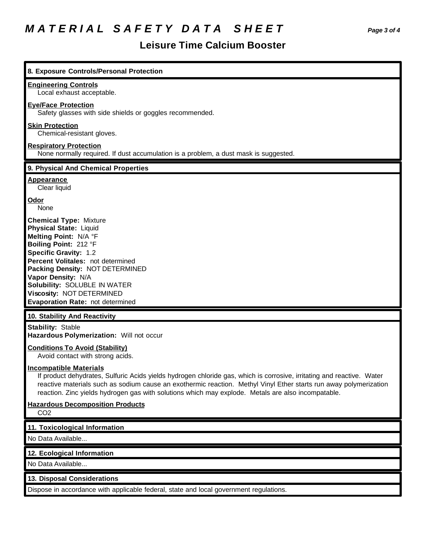# *M A T E R I A L S A F E T Y D A T A S H E E T Page 3 of 4*

| 8. Exposure Controls/Personal Protection                                                                                                                                                                                                                                                                                                                                           |
|------------------------------------------------------------------------------------------------------------------------------------------------------------------------------------------------------------------------------------------------------------------------------------------------------------------------------------------------------------------------------------|
| <b>Engineering Controls</b><br>Local exhaust acceptable.                                                                                                                                                                                                                                                                                                                           |
| <b>Eye/Face Protection</b><br>Safety glasses with side shields or goggles recommended.                                                                                                                                                                                                                                                                                             |
| <b>Skin Protection</b><br>Chemical-resistant gloves.                                                                                                                                                                                                                                                                                                                               |
| <b>Respiratory Protection</b><br>None normally required. If dust accumulation is a problem, a dust mask is suggested.                                                                                                                                                                                                                                                              |
| 9. Physical And Chemical Properties                                                                                                                                                                                                                                                                                                                                                |
| <b>Appearance</b><br>Clear liquid                                                                                                                                                                                                                                                                                                                                                  |
| Odor<br>None                                                                                                                                                                                                                                                                                                                                                                       |
| <b>Chemical Type: Mixture</b><br><b>Physical State: Liquid</b><br>Melting Point: N/A °F<br>Boiling Point: 212 °F<br><b>Specific Gravity: 1.2</b><br>Percent Volitales: not determined<br>Packing Density: NOT DETERMINED<br>Vapor Density: N/A<br>Solubility: SOLUBLE IN WATER<br>Viscosity: NOT DETERMINED<br>Evaporation Rate: not determined                                    |
| 10. Stability And Reactivity                                                                                                                                                                                                                                                                                                                                                       |
| <b>Stability: Stable</b><br>Hazardous Polymerization: Will not occur                                                                                                                                                                                                                                                                                                               |
| <b>Conditions To Avoid (Stability)</b><br>Avoid contact with strong acids.                                                                                                                                                                                                                                                                                                         |
| <b>Incompatible Materials</b><br>If product dehydrates, Sulfuric Acids yields hydrogen chloride gas, which is corrosive, irritating and reactive. Water<br>reactive materials such as sodium cause an exothermic reaction. Methyl Vinyl Ether starts run away polymerization<br>reaction. Zinc yields hydrogen gas with solutions which may explode. Metals are also incompatable. |
| <b>Hazardous Decomposition Products</b><br>CO <sub>2</sub>                                                                                                                                                                                                                                                                                                                         |
| 11. Toxicological Information                                                                                                                                                                                                                                                                                                                                                      |
| No Data Available                                                                                                                                                                                                                                                                                                                                                                  |
|                                                                                                                                                                                                                                                                                                                                                                                    |
| 12. Ecological Information                                                                                                                                                                                                                                                                                                                                                         |
| No Data Available                                                                                                                                                                                                                                                                                                                                                                  |
| 13. Disposal Considerations                                                                                                                                                                                                                                                                                                                                                        |
| Dispose in accordance with applicable federal, state and local government regulations.                                                                                                                                                                                                                                                                                             |